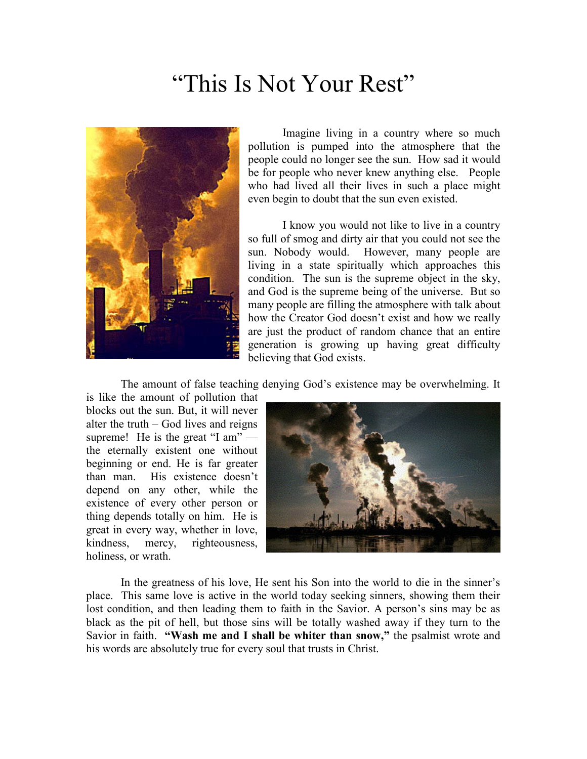## "This Is Not Your Rest"



Imagine living in a country where so much pollution is pumped into the atmosphere that the people could no longer see the sun. How sad it would be for people who never knew anything else. People who had lived all their lives in such a place might even begin to doubt that the sun even existed.

I know you would not like to live in a country so full of smog and dirty air that you could not see the sun. Nobody would. However, many people are living in a state spiritually which approaches this condition. The sun is the supreme object in the sky, and God is the supreme being of the universe. But so many people are filling the atmosphere with talk about how the Creator God doesn't exist and how we really are just the product of random chance that an entire generation is growing up having great difficulty believing that God exists.

The amount of false teaching denying God's existence may be overwhelming. It

is like the amount of pollution that blocks out the sun. But, it will never alter the truth – God lives and reigns supreme! He is the great "I am" the eternally existent one without beginning or end. He is far greater than man. His existence doesn't depend on any other, while the existence of every other person or thing depends totally on him. He is great in every way, whether in love, kindness, mercy, righteousness, holiness, or wrath.



In the greatness of his love, He sent his Son into the world to die in the sinner's place. This same love is active in the world today seeking sinners, showing them their lost condition, and then leading them to faith in the Savior. A person's sins may be as black as the pit of hell, but those sins will be totally washed away if they turn to the Savior in faith. "Wash me and I shall be whiter than snow," the psalmist wrote and his words are absolutely true for every soul that trusts in Christ.